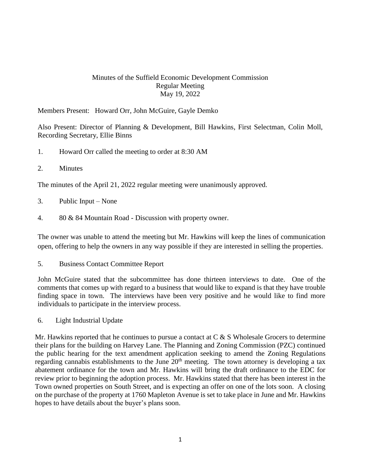## Minutes of the Suffield Economic Development Commission Regular Meeting May 19, 2022

Members Present: Howard Orr, John McGuire, Gayle Demko

Also Present: Director of Planning & Development, Bill Hawkins, First Selectman, Colin Moll, Recording Secretary, Ellie Binns

- 1. Howard Orr called the meeting to order at 8:30 AM
- 2. Minutes

The minutes of the April 21, 2022 regular meeting were unanimously approved.

- 3. Public Input None
- 4. 80 & 84 Mountain Road Discussion with property owner.

The owner was unable to attend the meeting but Mr. Hawkins will keep the lines of communication open, offering to help the owners in any way possible if they are interested in selling the properties.

5. Business Contact Committee Report

John McGuire stated that the subcommittee has done thirteen interviews to date. One of the comments that comes up with regard to a business that would like to expand is that they have trouble finding space in town. The interviews have been very positive and he would like to find more individuals to participate in the interview process.

6. Light Industrial Update

Mr. Hawkins reported that he continues to pursue a contact at  $C & S$  Wholesale Grocers to determine their plans for the building on Harvey Lane. The Planning and Zoning Commission (PZC) continued the public hearing for the text amendment application seeking to amend the Zoning Regulations regarding cannabis establishments to the June  $20<sup>th</sup>$  meeting. The town attorney is developing a tax abatement ordinance for the town and Mr. Hawkins will bring the draft ordinance to the EDC for review prior to beginning the adoption process. Mr. Hawkins stated that there has been interest in the Town owned properties on South Street, and is expecting an offer on one of the lots soon. A closing on the purchase of the property at 1760 Mapleton Avenue is set to take place in June and Mr. Hawkins hopes to have details about the buyer's plans soon.